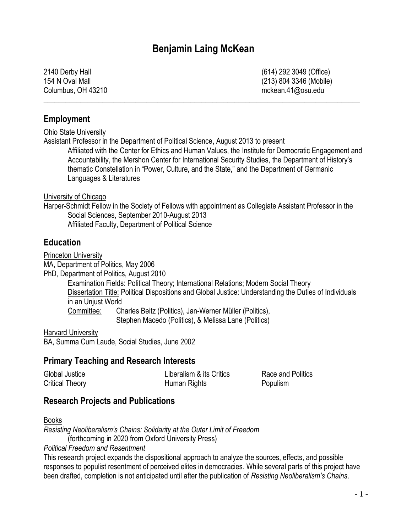# **Benjamin Laing McKean**

\_\_\_\_\_\_\_\_\_\_\_\_\_\_\_\_\_\_\_\_\_\_\_\_\_\_\_\_\_\_\_\_\_\_\_\_\_\_\_\_\_\_\_\_\_\_\_\_\_\_\_\_\_\_\_\_\_\_\_\_\_\_\_\_\_\_\_\_\_\_\_\_\_\_\_\_\_\_\_\_\_\_\_\_\_\_

Columbus, OH 43210 mckean.41@osu.edu

2140 Derby Hall (614) 292 3049 (Office) 154 N Oval Mall (213) 804 3346 (Mobile)

### **Employment**

Ohio State University

Assistant Professor in the Department of Political Science, August 2013 to present Affiliated with the Center for Ethics and Human Values, the Institute for Democratic Engagement and Accountability, the Mershon Center for International Security Studies, the Department of History's thematic Constellation in "Power, Culture, and the State," and the Department of Germanic Languages & Literatures

#### University of Chicago

Harper-Schmidt Fellow in the Society of Fellows with appointment as Collegiate Assistant Professor in the Social Sciences, September 2010-August 2013 Affiliated Faculty, Department of Political Science

#### **Education**

Princeton University

MA, Department of Politics, May 2006

PhD, Department of Politics, August 2010

Examination Fields: Political Theory; International Relations; Modern Social Theory Dissertation Title: Political Dispositions and Global Justice: Understanding the Duties of Individuals in an Unjust World Committee: Charles Beitz (Politics), Jan-Werner Müller (Politics),

Stephen Macedo (Politics), & Melissa Lane (Politics)

Harvard University BA, Summa Cum Laude, Social Studies, June 2002

### **Primary Teaching and Research Interests**

| Global Justice  | Liberalism & its Critics | Race and Politics |
|-----------------|--------------------------|-------------------|
| Critical Theory | Human Rights             | Populism          |

## **Research Projects and Publications**

Books

*Resisting Neoliberalism's Chains: Solidarity at the Outer Limit of Freedom* (forthcoming in 2020 from Oxford University Press)

*Political Freedom and Resentment* 

This research project expands the dispositional approach to analyze the sources, effects, and possible responses to populist resentment of perceived elites in democracies. While several parts of this project have been drafted, completion is not anticipated until after the publication of *Resisting Neoliberalism's Chains*.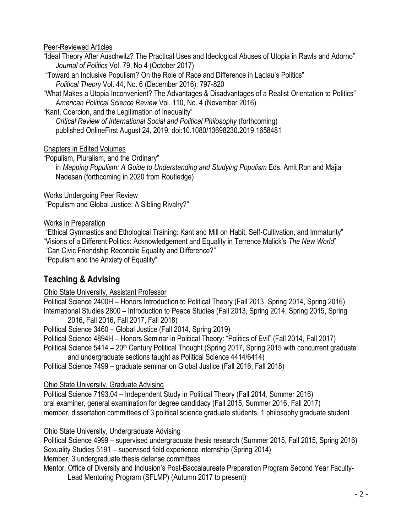#### Peer-Reviewed Articles

"Ideal Theory After Auschwitz? The Practical Uses and Ideological Abuses of Utopia in Rawls and Adorno" *Journal of Politics* Vol. 79, No 4 (October 2017)

"Toward an Inclusive Populism? On the Role of Race and Difference in Laclau's Politics" *Political Theory* Vol. 44, No. 6 (December 2016): 797-820

"What Makes a Utopia Inconvenient? The Advantages & Disadvantages of a Realist Orientation to Politics" *American Political Science Review* Vol. 110, No. 4 (November 2016)

"Kant, Coercion, and the Legitimation of Inequality" *Critical Review of International Social and Political Philosophy* (forthcoming) published OnlineFirst August 24, 2019. doi:10.1080/13698230.2019.1658481

Chapters in Edited Volumes

"Populism, Pluralism, and the Ordinary" in *Mapping Populism: A Guide to Understanding and Studying Populism* Eds. Amit Ron and Majia Nadesan (forthcoming in 2020 from Routledge)

Works Undergoing Peer Review

"Populism and Global Justice: A Sibling Rivalry?"

### Works in Preparation

"Ethical Gymnastics and Ethological Training: Kant and Mill on Habit, Self-Cultivation, and Immaturity" "Visions of a Different Politics: Acknowledgement and Equality in Terrence Malick's *The New World*" "Can Civic Friendship Reconcile Equality and Difference?"

"Populism and the Anxiety of Equality"

# **Teaching & Advising**

Ohio State University, Assistant Professor

Political Science 2400H – Honors Introduction to Political Theory (Fall 2013, Spring 2014, Spring 2016) International Studies 2800 – Introduction to Peace Studies (Fall 2013, Spring 2014, Spring 2015, Spring 2016, Fall 2016, Fall 2017, Fall 2018)

Political Science 3460 – Global Justice (Fall 2014, Spring 2019)

Political Science 4894H – Honors Seminar in Political Theory: "Politics of Evil" (Fall 2014, Fall 2017)

Political Science  $5414 - 20$ <sup>th</sup> Century Political Thought (Spring 2017, Spring 2015 with concurrent graduate and undergraduate sections taught as Political Science 4414/6414)

Political Science 7499 – graduate seminar on Global Justice (Fall 2016, Fall 2018)

## Ohio State University, Graduate Advising

Political Science 7193.04 – Independent Study in Political Theory (Fall 2014, Summer 2016) oral examiner, general examination for degree candidacy (Fall 2015, Summer 2016, Fall 2017) member, dissertation committees of 3 political science graduate students, 1 philosophy graduate student

## Ohio State University, Undergraduate Advising

Political Science 4999 – supervised undergraduate thesis research (Summer 2015, Fall 2015, Spring 2016) Sexuality Studies 5191 – supervised field experience internship (Spring 2014)

Member, 3 undergraduate thesis defense committees

Mentor, Office of Diversity and Inclusion's Post-Baccalaureate Preparation Program Second Year Faculty-Lead Mentoring Program (SFLMP) (Autumn 2017 to present)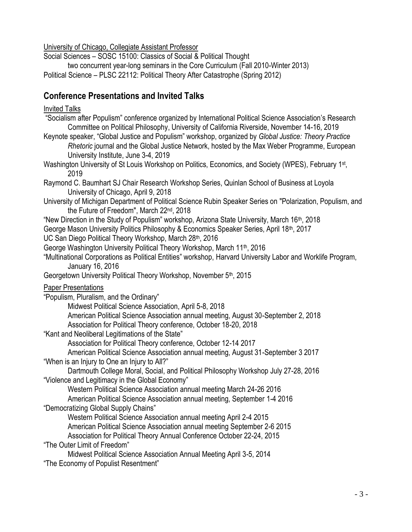University of Chicago, Collegiate Assistant Professor

Social Sciences – SOSC 15100: Classics of Social & Political Thought

two concurrent year-long seminars in the Core Curriculum (Fall 2010-Winter 2013) Political Science – PLSC 22112: Political Theory After Catastrophe (Spring 2012)

# **Conference Presentations and Invited Talks**

# Invited Talks

| Invited Talks                                                                                                                                                                                                                                                                                                                                                                                                                                                                                                                                                                                                                                                                                                                                                                                                                                         |
|-------------------------------------------------------------------------------------------------------------------------------------------------------------------------------------------------------------------------------------------------------------------------------------------------------------------------------------------------------------------------------------------------------------------------------------------------------------------------------------------------------------------------------------------------------------------------------------------------------------------------------------------------------------------------------------------------------------------------------------------------------------------------------------------------------------------------------------------------------|
| "Socialism after Populism" conference organized by International Political Science Association's Research<br>Committee on Political Philosophy, University of California Riverside, November 14-16, 2019<br>Keynote speaker, "Global Justice and Populism" workshop, organized by Global Justice: Theory Practice<br>Rhetoric journal and the Global Justice Network, hosted by the Max Weber Programme, European<br>University Institute, June 3-4, 2019                                                                                                                                                                                                                                                                                                                                                                                             |
| Washington University of St Louis Workshop on Politics, Economics, and Society (WPES), February 1st,<br>2019                                                                                                                                                                                                                                                                                                                                                                                                                                                                                                                                                                                                                                                                                                                                          |
| Raymond C. Baumhart SJ Chair Research Workshop Series, Quinlan School of Business at Loyola<br>University of Chicago, April 9, 2018                                                                                                                                                                                                                                                                                                                                                                                                                                                                                                                                                                                                                                                                                                                   |
| University of Michigan Department of Political Science Rubin Speaker Series on "Polarization, Populism, and<br>the Future of Freedom", March 22 <sup>nd</sup> , 2018                                                                                                                                                                                                                                                                                                                                                                                                                                                                                                                                                                                                                                                                                  |
| "New Direction in the Study of Populism" workshop, Arizona State University, March 16 <sup>th</sup> , 2018<br>George Mason University Politics Philosophy & Economics Speaker Series, April 18 <sup>th</sup> , 2017<br>UC San Diego Political Theory Workshop, March 28th, 2016                                                                                                                                                                                                                                                                                                                                                                                                                                                                                                                                                                       |
| George Washington University Political Theory Workshop, March 11 <sup>th</sup> , 2016<br>"Multinational Corporations as Political Entities" workshop, Harvard University Labor and Worklife Program,<br>January 16, 2016                                                                                                                                                                                                                                                                                                                                                                                                                                                                                                                                                                                                                              |
| Georgetown University Political Theory Workshop, November 5 <sup>th</sup> , 2015                                                                                                                                                                                                                                                                                                                                                                                                                                                                                                                                                                                                                                                                                                                                                                      |
| <b>Paper Presentations</b><br>"Populism, Pluralism, and the Ordinary"<br>Midwest Political Science Association, April 5-8, 2018<br>American Political Science Association annual meeting, August 30-September 2, 2018<br>Association for Political Theory conference, October 18-20, 2018<br>"Kant and Neoliberal Legitimations of the State"<br>Association for Political Theory conference, October 12-14 2017<br>American Political Science Association annual meeting, August 31-September 3 2017<br>"When is an Injury to One an Injury to All?"<br>Dartmouth College Moral, Social, and Political Philosophy Workshop July 27-28, 2016<br>"Violence and Legitimacy in the Global Economy"<br>Western Political Science Association annual meeting March 24-26 2016<br>American Political Science Association annual meeting, September 1-4 2016 |
| "Democratizing Global Supply Chains"<br>Western Political Science Association annual meeting April 2-4 2015<br>American Political Science Association annual meeting September 2-6 2015<br>Association for Political Theory Annual Conference October 22-24, 2015<br>"The Outer Limit of Freedom"                                                                                                                                                                                                                                                                                                                                                                                                                                                                                                                                                     |
| Midwest Political Science Association Annual Meeting April 3-5, 2014<br>"The Economy of Populist Resentment"                                                                                                                                                                                                                                                                                                                                                                                                                                                                                                                                                                                                                                                                                                                                          |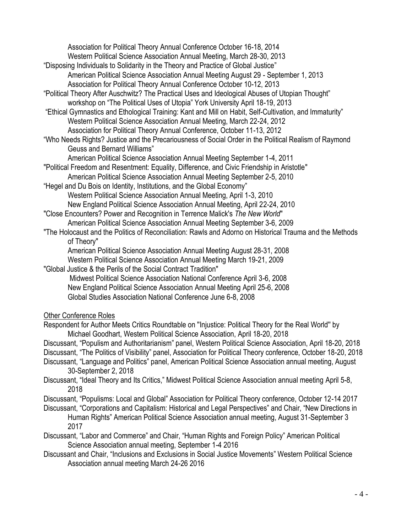Association for Political Theory Annual Conference October 16-18, 2014 Western Political Science Association Annual Meeting, March 28-30, 2013 "Disposing Individuals to Solidarity in the Theory and Practice of Global Justice" American Political Science Association Annual Meeting August 29 - September 1, 2013 Association for Political Theory Annual Conference October 10-12, 2013 "Political Theory After Auschwitz? The Practical Uses and Ideological Abuses of Utopian Thought" workshop on "The Political Uses of Utopia" York University April 18-19, 2013 "Ethical Gymnastics and Ethological Training: Kant and Mill on Habit, Self-Cultivation, and Immaturity" Western Political Science Association Annual Meeting, March 22-24, 2012 Association for Political Theory Annual Conference, October 11-13, 2012 "Who Needs Rights? Justice and the Precariousness of Social Order in the Political Realism of Raymond Geuss and Bernard Williams" American Political Science Association Annual Meeting September 1-4, 2011 "Political Freedom and Resentment: Equality, Difference, and Civic Friendship in Aristotle" American Political Science Association Annual Meeting September 2-5, 2010 "Hegel and Du Bois on Identity, Institutions, and the Global Economy" Western Political Science Association Annual Meeting, April 1-3, 2010 New England Political Science Association Annual Meeting, April 22-24, 2010 "Close Encounters? Power and Recognition in Terrence Malick's *The New World*" American Political Science Association Annual Meeting September 3-6, 2009 "The Holocaust and the Politics of Reconciliation: Rawls and Adorno on Historical Trauma and the Methods of Theory" American Political Science Association Annual Meeting August 28-31, 2008 Western Political Science Association Annual Meeting March 19-21, 2009 "Global Justice & the Perils of the Social Contract Tradition" Midwest Political Science Association National Conference April 3-6, 2008 New England Political Science Association Annual Meeting April 25-6, 2008 Global Studies Association National Conference June 6-8, 2008 Other Conference Roles Respondent for Author Meets Critics Roundtable on ''Injustice: Political Theory for the Real World'' by Michael Goodhart, Western Political Science Association, April 18-20, 2018 Discussant, "Populism and Authoritarianism" panel, Western Political Science Association, April 18-20, 2018 Discussant, "The Politics of Visibility" panel, Association for Political Theory conference, October 18-20, 2018 Discussant, "Language and Politics" panel, American Political Science Association annual meeting, August 30-September 2, 2018 Discussant, "Ideal Theory and Its Critics," Midwest Political Science Association annual meeting April 5-8, 2018 Discussant, "Populisms: Local and Global" Association for Political Theory conference, October 12-14 2017 Discussant, "Corporations and Capitalism: Historical and Legal Perspectives" and Chair, "New Directions in Human Rights" American Political Science Association annual meeting, August 31-September 3

- 2017
- Discussant, "Labor and Commerce" and Chair, "Human Rights and Foreign Policy" American Political Science Association annual meeting, September 1-4 2016
- Discussant and Chair, "Inclusions and Exclusions in Social Justice Movements" Western Political Science Association annual meeting March 24-26 2016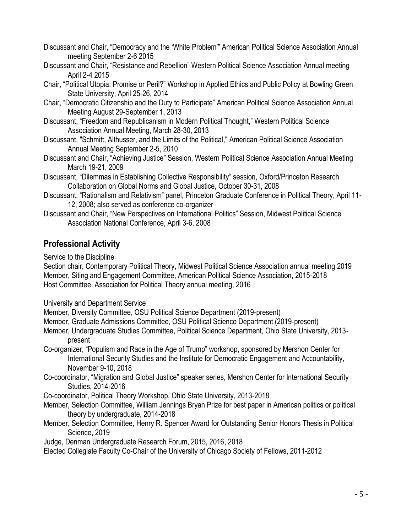- Discussant and Chair, "Democracy and the 'White Problem'" American Political Science Association Annual meeting September 2-6 2015
- Discussant and Chair, "Resistance and Rebellion" Western Political Science Association Annual meeting April 2-4 2015
- Chair, "Political Utopia: Promise or Peril?" Workshop in Applied Ethics and Public Policy at Bowling Green State University, April 25-26, 2014
- Chair, "Democratic Citizenship and the Duty to Participate" American Political Science Association Annual Meeting August 29-September 1, 2013
- Discussant, "Freedom and Republicanism in Modern Political Thought," Western Political Science Association Annual Meeting, March 28-30, 2013
- Discussant, "Schmitt, Althusser, and the Limits of the Political," American Political Science Association Annual Meeting September 2-5, 2010
- Discussant and Chair, "Achieving Justice" Session, Western Political Science Association Annual Meeting March 19-21, 2009
- Discussant, "Dilemmas in Establishing Collective Responsibility" session, Oxford/Princeton Research Collaboration on Global Norms and Global Justice, October 30-31, 2008
- Discussant, "Rationalism and Relativism" panel, Princeton Graduate Conference in Political Theory, April 11- 12, 2008; also served as conference co-organizer
- Discussant and Chair, "New Perspectives on International Politics" Session, Midwest Political Science Association National Conference, April 3-6, 2008

# **Professional Activity**

Service to the Discipline

Section chair, Contemporary Political Theory, Midwest Political Science Association annual meeting 2019 Member, Siting and Engagement Committee, American Political Science Association, 2015-2018 Host Committee, Association for Political Theory annual meeting, 2016

University and Department Service

Member, Diversity Committee, OSU Political Science Department (2019-present)

Member, Graduate Admissions Committee, OSU Political Science Department (2019-present)

- Member, Undergraduate Studies Committee, Political Science Department, Ohio State University, 2013 present
- Co-organizer, "Populism and Race in the Age of Trump" workshop, sponsored by Mershon Center for International Security Studies and the Institute for Democratic Engagement and Accountability, November 9-10, 2018
- Co-coordinator, "Migration and Global Justice" speaker series, Mershon Center for International Security Studies, 2014-2016

Co-coordinator, Political Theory Workshop, Ohio State University, 2013-2018

- Member, Selection Committee, William Jennings Bryan Prize for best paper in American politics or political theory by undergraduate, 2014-2018
- Member, Selection Committee, Henry R. Spencer Award for Outstanding Senior Honors Thesis in Political Science, 2019
- Judge, Denman Undergraduate Research Forum, 2015, 2016, 2018

Elected Collegiate Faculty Co-Chair of the University of Chicago Society of Fellows, 2011-2012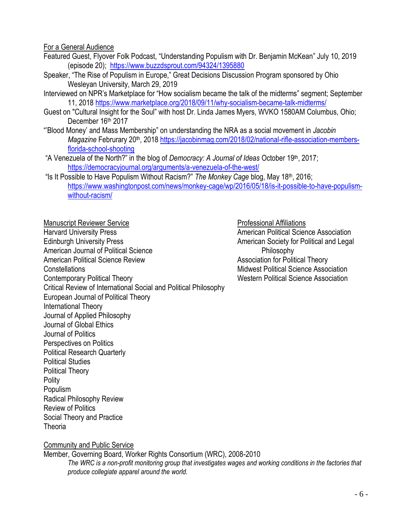#### For a General Audience

- Featured Guest, Flyover Folk Podcast, "Understanding Populism with Dr. Benjamin McKean" July 10, 2019 (episode 20);<https://www.buzzdsprout.com/94324/1395880>
- Speaker, "The Rise of Populism in Europe," Great Decisions Discussion Program sponsored by Ohio Wesleyan University, March 29, 2019
- Interviewed on NPR's Marketplace for "How socialism became the talk of the midterms" segment; September 11, 2018<https://www.marketplace.org/2018/09/11/why-socialism-became-talk-midterms/>
- Guest on "Cultural Insight for the Soul" with host Dr. Linda James Myers, WVKO 1580AM Columbus, Ohio; December 16th 2017
- "'Blood Money' and Mass Membership" on understanding the NRA as a social movement in *Jacobin Magazine* Februrary 20<sup>th</sup>, 2018 [https://jacobinmag.com/2018/02/national-rifle-association-members](https://jacobinmag.com/2018/02/national-rifle-association-members-florida-school-shooting)[florida-school-shooting](https://jacobinmag.com/2018/02/national-rifle-association-members-florida-school-shooting)
- "A Venezuela of the North?" in the blog of *Democracy: A Journal of Ideas* October 19th, 2017; <https://democracyjournal.org/arguments/a-venezuela-of-the-west/>
- "Is It Possible to Have Populism Without Racism?" *The Monkey Cage* blog, May 18th, 2016; [https://www.washingtonpost.com/news/monkey-cage/wp/2016/05/18/is-it-possible-to-have-populism](https://www.washingtonpost.com/news/monkey-cage/wp/2016/05/18/is-it-possible-to-have-populism-without-racism/)[without-racism/](https://www.washingtonpost.com/news/monkey-cage/wp/2016/05/18/is-it-possible-to-have-populism-without-racism/)

Manuscript Reviewer Service **National Affiliations** Professional Affiliations Harvard University Press **American Political Science Association** Edinburgh University Press **American Society for Political and Legal** American Society for Political and Legal American Journal of Political Science **Philosophy** Philosophy American Political Science Review Association for Political Theory Constellations Midwest Political Science Association Contemporary Political Theory **Network** Western Political Science Association Critical Review of International Social and Political Philosophy European Journal of Political Theory International Theory Journal of Applied Philosophy Journal of Global Ethics Journal of Politics Perspectives on Politics Political Research Quarterly Political Studies Political Theory **Polity** Populism Radical Philosophy Review Review of Politics Social Theory and Practice **Theoria** 

#### Community and Public Service

Member, Governing Board, Worker Rights Consortium (WRC), 2008-2010 *The WRC is a non-profit monitoring group that investigates wages and working conditions in the factories that produce collegiate apparel around the world.*